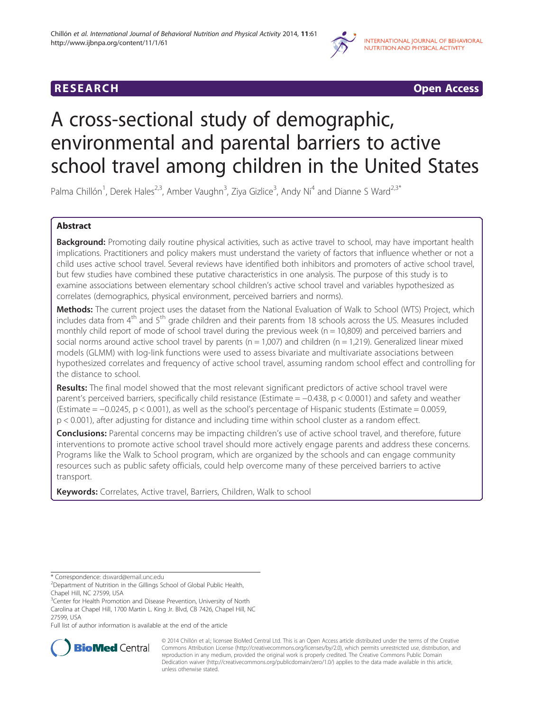

**RESEARCH RESEARCH** *CHECKER CHECKER CHECKER CHECKER CHECKER CHECKER CHECKER CHECKER CHECKER CHECKER CHECKER* 

# A cross-sectional study of demographic, environmental and parental barriers to active school travel among children in the United States

Palma Chillón<sup>1</sup>, Derek Hales<sup>2,3</sup>, Amber Vaughn<sup>3</sup>, Ziya Gizlice<sup>3</sup>, Andy Ni<sup>4</sup> and Dianne S Ward<sup>2,3\*</sup>

# Abstract

Background: Promoting daily routine physical activities, such as active travel to school, may have important health implications. Practitioners and policy makers must understand the variety of factors that influence whether or not a child uses active school travel. Several reviews have identified both inhibitors and promoters of active school travel, but few studies have combined these putative characteristics in one analysis. The purpose of this study is to examine associations between elementary school children's active school travel and variables hypothesized as correlates (demographics, physical environment, perceived barriers and norms).

Methods: The current project uses the dataset from the National Evaluation of Walk to School (WTS) Project, which includes data from 4<sup>th</sup> and 5<sup>th</sup> grade children and their parents from 18 schools across the US. Measures included monthly child report of mode of school travel during the previous week ( $n = 10,809$ ) and perceived barriers and social norms around active school travel by parents ( $n = 1,007$ ) and children ( $n = 1,219$ ). Generalized linear mixed models (GLMM) with log-link functions were used to assess bivariate and multivariate associations between hypothesized correlates and frequency of active school travel, assuming random school effect and controlling for the distance to school.

Results: The final model showed that the most relevant significant predictors of active school travel were parent's perceived barriers, specifically child resistance (Estimate = −0.438, p < 0.0001) and safety and weather (Estimate = −0.0245, p < 0.001), as well as the school's percentage of Hispanic students (Estimate = 0.0059, p < 0.001), after adjusting for distance and including time within school cluster as a random effect.

Conclusions: Parental concerns may be impacting children's use of active school travel, and therefore, future interventions to promote active school travel should more actively engage parents and address these concerns. Programs like the Walk to School program, which are organized by the schools and can engage community resources such as public safety officials, could help overcome many of these perceived barriers to active transport.

Keywords: Correlates, Active travel, Barriers, Children, Walk to school

\* Correspondence: [dsward@email.unc.edu](mailto:dsward@email.unc.edu) <sup>2</sup>

<sup>3</sup>Center for Health Promotion and Disease Prevention, University of North Carolina at Chapel Hill, 1700 Martin L. King Jr. Blvd, CB 7426, Chapel Hill, NC 27599, USA

Full list of author information is available at the end of the article



© 2014 Chillón et al.; licensee BioMed Central Ltd. This is an Open Access article distributed under the terms of the Creative Commons Attribution License [\(http://creativecommons.org/licenses/by/2.0\)](http://creativecommons.org/licenses/by/2.0), which permits unrestricted use, distribution, and reproduction in any medium, provided the original work is properly credited. The Creative Commons Public Domain Dedication waiver [\(http://creativecommons.org/publicdomain/zero/1.0/](http://creativecommons.org/publicdomain/zero/1.0/)) applies to the data made available in this article, unless otherwise stated.

<sup>&</sup>lt;sup>2</sup>Department of Nutrition in the Gillings School of Global Public Health, Chapel Hill, NC 27599, USA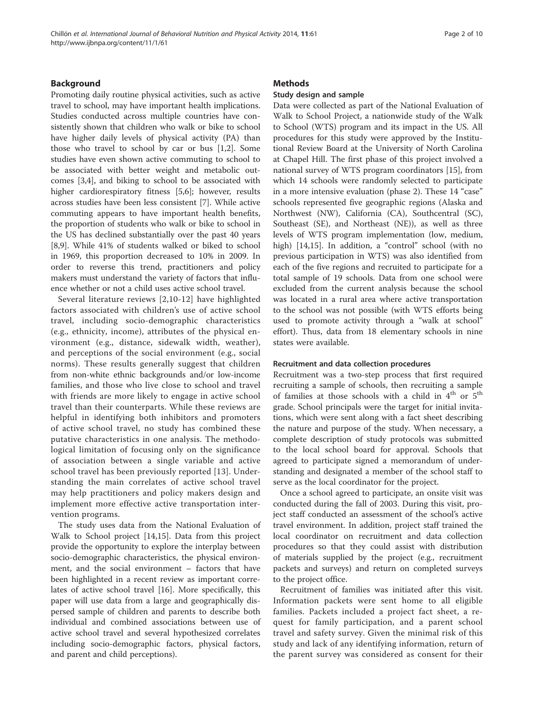# Background

Promoting daily routine physical activities, such as active travel to school, may have important health implications. Studies conducted across multiple countries have consistently shown that children who walk or bike to school have higher daily levels of physical activity (PA) than those who travel to school by car or bus [[1,2\]](#page-8-0). Some studies have even shown active commuting to school to be associated with better weight and metabolic outcomes [[3,](#page-8-0)[4\]](#page-9-0), and biking to school to be associated with higher cardiorespiratory fitness [[5,6\]](#page-9-0); however, results across studies have been less consistent [[7\]](#page-9-0). While active commuting appears to have important health benefits, the proportion of students who walk or bike to school in the US has declined substantially over the past 40 years [[8,9\]](#page-9-0). While 41% of students walked or biked to school in 1969, this proportion decreased to 10% in 2009. In order to reverse this trend, practitioners and policy makers must understand the variety of factors that influence whether or not a child uses active school travel.

Several literature reviews [[2](#page-8-0)[,10-12](#page-9-0)] have highlighted factors associated with children's use of active school travel, including socio-demographic characteristics (e.g., ethnicity, income), attributes of the physical environment (e.g., distance, sidewalk width, weather), and perceptions of the social environment (e.g., social norms). These results generally suggest that children from non-white ethnic backgrounds and/or low-income families, and those who live close to school and travel with friends are more likely to engage in active school travel than their counterparts. While these reviews are helpful in identifying both inhibitors and promoters of active school travel, no study has combined these putative characteristics in one analysis. The methodological limitation of focusing only on the significance of association between a single variable and active school travel has been previously reported [[13\]](#page-9-0). Understanding the main correlates of active school travel may help practitioners and policy makers design and implement more effective active transportation intervention programs.

The study uses data from the National Evaluation of Walk to School project [[14](#page-9-0),[15](#page-9-0)]. Data from this project provide the opportunity to explore the interplay between socio-demographic characteristics, the physical environment, and the social environment – factors that have been highlighted in a recent review as important correlates of active school travel [\[16](#page-9-0)]. More specifically, this paper will use data from a large and geographically dispersed sample of children and parents to describe both individual and combined associations between use of active school travel and several hypothesized correlates including socio-demographic factors, physical factors, and parent and child perceptions).

# **Methods**

# Study design and sample

Data were collected as part of the National Evaluation of Walk to School Project, a nationwide study of the Walk to School (WTS) program and its impact in the US. All procedures for this study were approved by the Institutional Review Board at the University of North Carolina at Chapel Hill. The first phase of this project involved a national survey of WTS program coordinators [[15\]](#page-9-0), from which 14 schools were randomly selected to participate in a more intensive evaluation (phase 2). These 14 "case" schools represented five geographic regions (Alaska and Northwest (NW), California (CA), Southcentral (SC), Southeast (SE), and Northeast (NE)), as well as three levels of WTS program implementation (low, medium, high) [[14,15\]](#page-9-0). In addition, a "control" school (with no previous participation in WTS) was also identified from each of the five regions and recruited to participate for a total sample of 19 schools. Data from one school were excluded from the current analysis because the school was located in a rural area where active transportation to the school was not possible (with WTS efforts being used to promote activity through a "walk at school" effort). Thus, data from 18 elementary schools in nine states were available.

#### Recruitment and data collection procedures

Recruitment was a two-step process that first required recruiting a sample of schools, then recruiting a sample of families at those schools with a child in  $4^{\text{th}}$  or  $5^{\text{th}}$ grade. School principals were the target for initial invitations, which were sent along with a fact sheet describing the nature and purpose of the study. When necessary, a complete description of study protocols was submitted to the local school board for approval. Schools that agreed to participate signed a memorandum of understanding and designated a member of the school staff to serve as the local coordinator for the project.

Once a school agreed to participate, an onsite visit was conducted during the fall of 2003. During this visit, project staff conducted an assessment of the school's active travel environment. In addition, project staff trained the local coordinator on recruitment and data collection procedures so that they could assist with distribution of materials supplied by the project (e.g., recruitment packets and surveys) and return on completed surveys to the project office.

Recruitment of families was initiated after this visit. Information packets were sent home to all eligible families. Packets included a project fact sheet, a request for family participation, and a parent school travel and safety survey. Given the minimal risk of this study and lack of any identifying information, return of the parent survey was considered as consent for their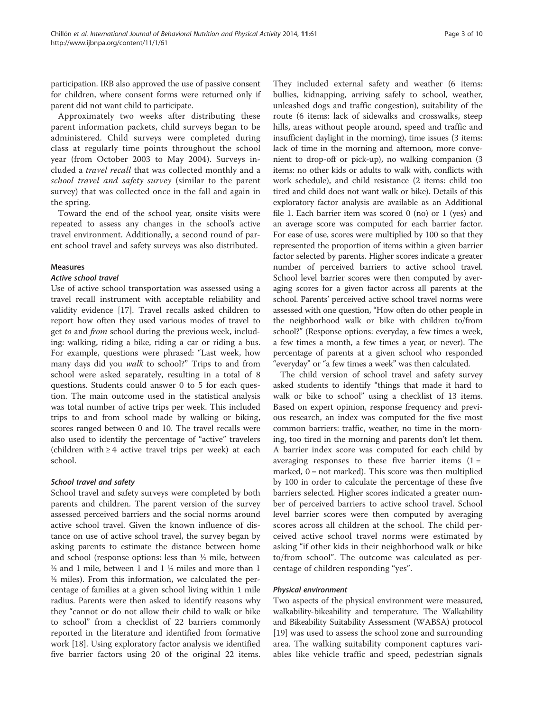participation. IRB also approved the use of passive consent for children, where consent forms were returned only if parent did not want child to participate.

Approximately two weeks after distributing these parent information packets, child surveys began to be administered. Child surveys were completed during class at regularly time points throughout the school year (from October 2003 to May 2004). Surveys included a travel recall that was collected monthly and a school travel and safety survey (similar to the parent survey) that was collected once in the fall and again in the spring.

Toward the end of the school year, onsite visits were repeated to assess any changes in the school's active travel environment. Additionally, a second round of parent school travel and safety surveys was also distributed.

# **Measures**

# Active school travel

Use of active school transportation was assessed using a travel recall instrument with acceptable reliability and validity evidence [\[17](#page-9-0)]. Travel recalls asked children to report how often they used various modes of travel to get to and from school during the previous week, including: walking, riding a bike, riding a car or riding a bus. For example, questions were phrased: "Last week, how many days did you walk to school?" Trips to and from school were asked separately, resulting in a total of 8 questions. Students could answer 0 to 5 for each question. The main outcome used in the statistical analysis was total number of active trips per week. This included trips to and from school made by walking or biking, scores ranged between 0 and 10. The travel recalls were also used to identify the percentage of "active" travelers (children with  $\geq 4$  active travel trips per week) at each school.

# School travel and safety

School travel and safety surveys were completed by both parents and children. The parent version of the survey assessed perceived barriers and the social norms around active school travel. Given the known influence of distance on use of active school travel, the survey began by asking parents to estimate the distance between home and school (response options: less than ½ mile, between  $\frac{1}{2}$  and 1 mile, between 1 and 1  $\frac{1}{2}$  miles and more than 1 ½ miles). From this information, we calculated the percentage of families at a given school living within 1 mile radius. Parents were then asked to identify reasons why they "cannot or do not allow their child to walk or bike to school" from a checklist of 22 barriers commonly reported in the literature and identified from formative work [\[18](#page-9-0)]. Using exploratory factor analysis we identified five barrier factors using 20 of the original 22 items.

They included external safety and weather (6 items: bullies, kidnapping, arriving safely to school, weather, unleashed dogs and traffic congestion), suitability of the route (6 items: lack of sidewalks and crosswalks, steep hills, areas without people around, speed and traffic and insufficient daylight in the morning), time issues (3 items: lack of time in the morning and afternoon, more convenient to drop-off or pick-up), no walking companion (3 items: no other kids or adults to walk with, conflicts with work schedule), and child resistance (2 items: child too tired and child does not want walk or bike). Details of this exploratory factor analysis are available as an Additional file [1](#page-8-0). Each barrier item was scored 0 (no) or 1 (yes) and an average score was computed for each barrier factor. For ease of use, scores were multiplied by 100 so that they represented the proportion of items within a given barrier factor selected by parents. Higher scores indicate a greater number of perceived barriers to active school travel. School level barrier scores were then computed by averaging scores for a given factor across all parents at the school. Parents' perceived active school travel norms were assessed with one question, "How often do other people in the neighborhood walk or bike with children to/from school?" (Response options: everyday, a few times a week, a few times a month, a few times a year, or never). The percentage of parents at a given school who responded "everyday" or "a few times a week" was then calculated.

The child version of school travel and safety survey asked students to identify "things that made it hard to walk or bike to school" using a checklist of 13 items. Based on expert opinion, response frequency and previous research, an index was computed for the five most common barriers: traffic, weather, no time in the morning, too tired in the morning and parents don't let them. A barrier index score was computed for each child by averaging responses to these five barrier items  $(1 =$ marked,  $0 = not$  marked). This score was then multiplied by 100 in order to calculate the percentage of these five barriers selected. Higher scores indicated a greater number of perceived barriers to active school travel. School level barrier scores were then computed by averaging scores across all children at the school. The child perceived active school travel norms were estimated by asking "if other kids in their neighborhood walk or bike to/from school". The outcome was calculated as percentage of children responding "yes".

# Physical environment

Two aspects of the physical environment were measured, walkability-bikeability and temperature. The Walkability and Bikeability Suitability Assessment (WABSA) protocol [[19](#page-9-0)] was used to assess the school zone and surrounding area. The walking suitability component captures variables like vehicle traffic and speed, pedestrian signals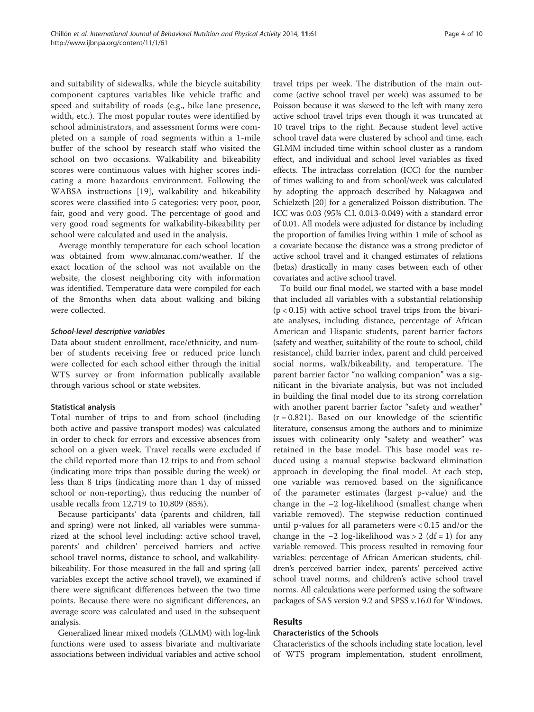and suitability of sidewalks, while the bicycle suitability component captures variables like vehicle traffic and speed and suitability of roads (e.g., bike lane presence, width, etc.). The most popular routes were identified by school administrators, and assessment forms were completed on a sample of road segments within a 1-mile buffer of the school by research staff who visited the school on two occasions. Walkability and bikeability scores were continuous values with higher scores indicating a more hazardous environment. Following the WABSA instructions [[19\]](#page-9-0), walkability and bikeability scores were classified into 5 categories: very poor, poor, fair, good and very good. The percentage of good and very good road segments for walkability-bikeability per school were calculated and used in the analysis.

Average monthly temperature for each school location was obtained from www.almanac.com/weather. If the exact location of the school was not available on the website, the closest neighboring city with information was identified. Temperature data were compiled for each of the 8months when data about walking and biking were collected.

# School-level descriptive variables

Data about student enrollment, race/ethnicity, and number of students receiving free or reduced price lunch were collected for each school either through the initial WTS survey or from information publically available through various school or state websites.

# Statistical analysis

Total number of trips to and from school (including both active and passive transport modes) was calculated in order to check for errors and excessive absences from school on a given week. Travel recalls were excluded if the child reported more than 12 trips to and from school (indicating more trips than possible during the week) or less than 8 trips (indicating more than 1 day of missed school or non-reporting), thus reducing the number of usable recalls from 12,719 to 10,809 (85%).

Because participants' data (parents and children, fall and spring) were not linked, all variables were summarized at the school level including: active school travel, parents' and children' perceived barriers and active school travel norms, distance to school, and walkabilitybikeability. For those measured in the fall and spring (all variables except the active school travel), we examined if there were significant differences between the two time points. Because there were no significant differences, an average score was calculated and used in the subsequent analysis.

Generalized linear mixed models (GLMM) with log-link functions were used to assess bivariate and multivariate associations between individual variables and active school

travel trips per week. The distribution of the main outcome (active school travel per week) was assumed to be Poisson because it was skewed to the left with many zero active school travel trips even though it was truncated at 10 travel trips to the right. Because student level active school travel data were clustered by school and time, each GLMM included time within school cluster as a random effect, and individual and school level variables as fixed effects. The intraclass correlation (ICC) for the number of times walking to and from school/week was calculated by adopting the approach described by Nakagawa and Schielzeth [\[20](#page-9-0)] for a generalized Poisson distribution. The ICC was 0.03 (95% C.I. 0.013-0.049) with a standard error of 0.01. All models were adjusted for distance by including the proportion of families living within 1 mile of school as a covariate because the distance was a strong predictor of active school travel and it changed estimates of relations (betas) drastically in many cases between each of other covariates and active school travel.

To build our final model, we started with a base model that included all variables with a substantial relationship  $(p < 0.15)$  with active school travel trips from the bivariate analyses, including distance, percentage of African American and Hispanic students, parent barrier factors (safety and weather, suitability of the route to school, child resistance), child barrier index, parent and child perceived social norms, walk/bikeability, and temperature. The parent barrier factor "no walking companion" was a significant in the bivariate analysis, but was not included in building the final model due to its strong correlation with another parent barrier factor "safety and weather"  $(r = 0.821)$ . Based on our knowledge of the scientific literature, consensus among the authors and to minimize issues with colinearity only "safety and weather" was retained in the base model. This base model was reduced using a manual stepwise backward elimination approach in developing the final model. At each step, one variable was removed based on the significance of the parameter estimates (largest p-value) and the change in the −2 log-likelihood (smallest change when variable removed). The stepwise reduction continued until p-values for all parameters were < 0.15 and/or the change in the  $-2$  log-likelihood was > 2 (df = 1) for any variable removed. This process resulted in removing four variables: percentage of African American students, children's perceived barrier index, parents' perceived active school travel norms, and children's active school travel norms. All calculations were performed using the software packages of SAS version 9.2 and SPSS v.16.0 for Windows.

# Results

#### Characteristics of the Schools

Characteristics of the schools including state location, level of WTS program implementation, student enrollment,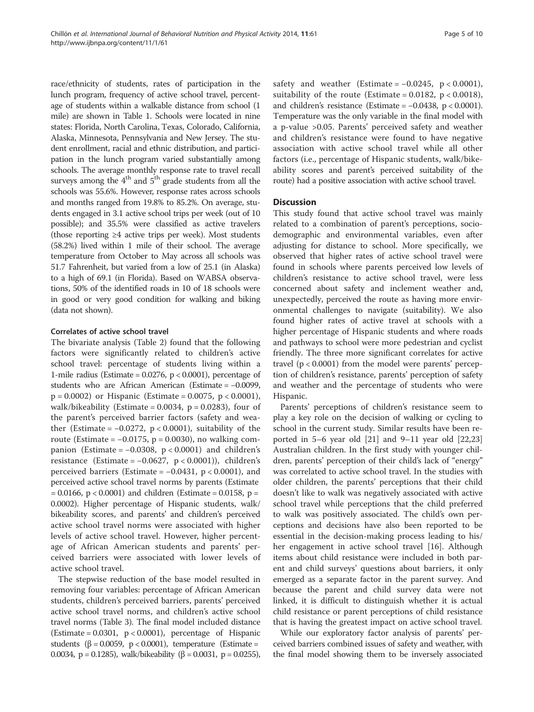race/ethnicity of students, rates of participation in the lunch program, frequency of active school travel, percentage of students within a walkable distance from school (1 mile) are shown in Table [1](#page-5-0). Schools were located in nine states: Florida, North Carolina, Texas, Colorado, California, Alaska, Minnesota, Pennsylvania and New Jersey. The student enrollment, racial and ethnic distribution, and participation in the lunch program varied substantially among schools. The average monthly response rate to travel recall surveys among the  $4<sup>th</sup>$  and  $5<sup>th</sup>$  grade students from all the schools was 55.6%. However, response rates across schools and months ranged from 19.8% to 85.2%. On average, students engaged in 3.1 active school trips per week (out of 10 possible); and 35.5% were classified as active travelers (those reporting  $\geq 4$  active trips per week). Most students (58.2%) lived within 1 mile of their school. The average temperature from October to May across all schools was 51.7 Fahrenheit, but varied from a low of 25.1 (in Alaska) to a high of 69.1 (in Florida). Based on WABSA observations, 50% of the identified roads in 10 of 18 schools were in good or very good condition for walking and biking (data not shown).

# Correlates of active school travel

The bivariate analysis (Table [2\)](#page-6-0) found that the following factors were significantly related to children's active school travel: percentage of students living within a 1-mile radius (Estimate =  $0.0276$ ,  $p < 0.0001$ ), percentage of students who are African American (Estimate = −0.0099,  $p = 0.0002$ ) or Hispanic (Estimate = 0.0075,  $p < 0.0001$ ), walk/bikeability (Estimate =  $0.0034$ , p =  $0.0283$ ), four of the parent's perceived barrier factors (safety and weather (Estimate =  $-0.0272$ , p < 0.0001), suitability of the route (Estimate =  $-0.0175$ , p = 0.0030), no walking companion (Estimate =  $-0.0308$ , p < 0.0001) and children's resistance (Estimate =  $-0.0627$ , p < 0.0001)), children's perceived barriers (Estimate =  $-0.0431$ , p < 0.0001), and perceived active school travel norms by parents (Estimate  $= 0.0166$ ,  $p < 0.0001$ ) and children (Estimate  $= 0.0158$ ,  $p =$ 0.0002). Higher percentage of Hispanic students, walk/ bikeability scores, and parents' and children's perceived active school travel norms were associated with higher levels of active school travel. However, higher percentage of African American students and parents' perceived barriers were associated with lower levels of active school travel.

The stepwise reduction of the base model resulted in removing four variables: percentage of African American students, children's perceived barriers, parents' perceived active school travel norms, and children's active school travel norms (Table [3\)](#page-7-0). The final model included distance (Estimate =  $0.0301$ ,  $p < 0.0001$ ), percentage of Hispanic students ( $\beta$  = 0.0059, p < 0.0001), temperature (Estimate = 0.0034, p = 0.1285), walk/bikeability (β = 0.0031, p = 0.0255), safety and weather (Estimate =  $-0.0245$ , p < 0.0001), suitability of the route (Estimate =  $0.0182$ , p <  $0.0018$ ), and children's resistance (Estimate =  $-0.0438$ , p < 0.0001). Temperature was the only variable in the final model with a p-value >0.05. Parents' perceived safety and weather and children's resistance were found to have negative association with active school travel while all other factors (i.e., percentage of Hispanic students, walk/bikeability scores and parent's perceived suitability of the route) had a positive association with active school travel.

# **Discussion**

This study found that active school travel was mainly related to a combination of parent's perceptions, sociodemographic and environmental variables, even after adjusting for distance to school. More specifically, we observed that higher rates of active school travel were found in schools where parents perceived low levels of children's resistance to active school travel, were less concerned about safety and inclement weather and, unexpectedly, perceived the route as having more environmental challenges to navigate (suitability). We also found higher rates of active travel at schools with a higher percentage of Hispanic students and where roads and pathways to school were more pedestrian and cyclist friendly. The three more significant correlates for active travel (p < 0.0001) from the model were parents' perception of children's resistance, parents' perception of safety and weather and the percentage of students who were Hispanic.

Parents' perceptions of children's resistance seem to play a key role on the decision of walking or cycling to school in the current study. Similar results have been reported in 5–6 year old [\[21\]](#page-9-0) and 9–11 year old [[22](#page-9-0),[23](#page-9-0)] Australian children. In the first study with younger children, parents' perception of their child's lack of "energy" was correlated to active school travel. In the studies with older children, the parents' perceptions that their child doesn't like to walk was negatively associated with active school travel while perceptions that the child preferred to walk was positively associated. The child's own perceptions and decisions have also been reported to be essential in the decision-making process leading to his/ her engagement in active school travel [\[16\]](#page-9-0). Although items about child resistance were included in both parent and child surveys' questions about barriers, it only emerged as a separate factor in the parent survey. And because the parent and child survey data were not linked, it is difficult to distinguish whether it is actual child resistance or parent perceptions of child resistance that is having the greatest impact on active school travel.

While our exploratory factor analysis of parents' perceived barriers combined issues of safety and weather, with the final model showing them to be inversely associated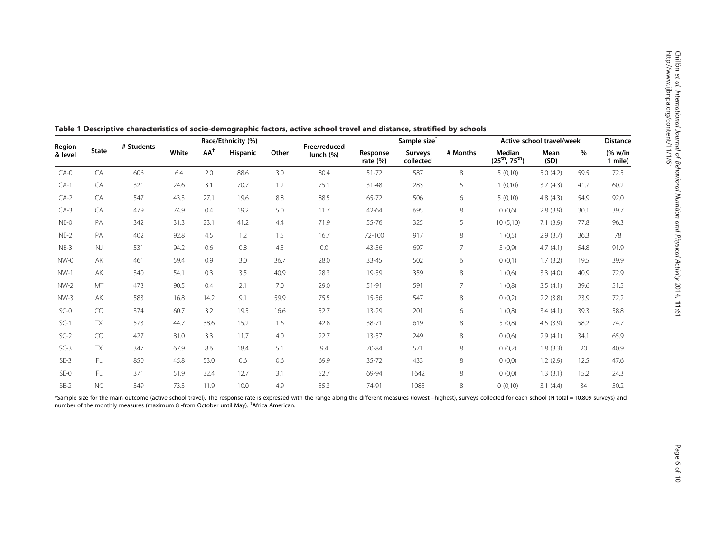| Region<br>& level | <b>State</b> | # Students | Race/Ethnicity (%) |                |          |       | Sample size <sup>®</sup>  |                        |                             | Active school travel/week |                                                     |              | <b>Distance</b> |                   |
|-------------------|--------------|------------|--------------------|----------------|----------|-------|---------------------------|------------------------|-----------------------------|---------------------------|-----------------------------------------------------|--------------|-----------------|-------------------|
|                   |              |            | White              | $AA^{\dagger}$ | Hispanic | Other | Free/reduced<br>lunch (%) | Response<br>rate $(%)$ | <b>Surveys</b><br>collected | # Months                  | <b>Median</b><br>$(25^{\text{th}}, 75^{\text{th}})$ | Mean<br>(SD) | $\%$            | % w/in<br>1 mile) |
| $CA-0$            | CA           | 606        | 6.4                | 2.0            | 88.6     | 3.0   | 80.4                      | $51 - 72$              | 587                         | 8                         | 5(0,10)                                             | 5.0(4.2)     | 59.5            | 72.5              |
| $CA-1$            | CA           | 321        | 24.6               | 3.1            | 70.7     | 1.2   | 75.1                      | 31-48                  | 283                         | 5                         | 1(0,10)                                             | 3.7(4.3)     | 41.7            | 60.2              |
| $CA-2$            | CA           | 547        | 43.3               | 27.1           | 19.6     | 8.8   | 88.5                      | 65-72                  | 506                         | 6                         | 5(0,10)                                             | 4.8(4.3)     | 54.9            | 92.0              |
| $CA-3$            | CA           | 479        | 74.9               | 0.4            | 19.2     | 5.0   | 11.7                      | 42-64                  | 695                         | 8                         | 0(0,6)                                              | 2.8(3.9)     | 30.1            | 39.7              |
| $NE-0$            | PA           | 342        | 31.3               | 23.1           | 41.2     | 4.4   | 71.9                      | 55-76                  | 325                         | 5                         | 10(5,10)                                            | 7.1(3.9)     | 77.8            | 96.3              |
| $NE-2$            | PA           | 402        | 92.8               | 4.5            | 1.2      | 1.5   | 16.7                      | 72-100                 | 917                         | 8                         | 1(0,5)                                              | 2.9(3.7)     | 36.3            | 78                |
| $NE-3$            | NJ           | 531        | 94.2               | 0.6            | 0.8      | 4.5   | 0.0                       | 43-56                  | 697                         | 7                         | 5(0,9)                                              | 4.7(4.1)     | 54.8            | 91.9              |
| $NW-0$            | AK           | 461        | 59.4               | 0.9            | 3.0      | 36.7  | 28.0                      | 33-45                  | 502                         | 6                         | 0(0,1)                                              | 1.7(3.2)     | 19.5            | 39.9              |
| $NW-1$            | AK           | 340        | 54.1               | 0.3            | 3.5      | 40.9  | 28.3                      | 19-59                  | 359                         | 8                         | 1(0,6)                                              | 3.3(4.0)     | 40.9            | 72.9              |
| $NW-2$            | MT           | 473        | 90.5               | 0.4            | 2.1      | 7.0   | 29.0                      | 51-91                  | 591                         | 7                         | 1(0,8)                                              | 3.5(4.1)     | 39.6            | 51.5              |
| $NW-3$            | AK           | 583        | 16.8               | 14.2           | 9.1      | 59.9  | 75.5                      | 15-56                  | 547                         | 8                         | 0(0,2)                                              | 2.2(3.8)     | 23.9            | 72.2              |
| $SC-0$            | CO           | 374        | 60.7               | 3.2            | 19.5     | 16.6  | 52.7                      | $13 - 29$              | 201                         | 6                         | 1(0,8)                                              | 3.4(4.1)     | 39.3            | 58.8              |
| $SC-1$            | <b>TX</b>    | 573        | 44.7               | 38.6           | 15.2     | 1.6   | 42.8                      | 38-71                  | 619                         | 8                         | 5(0,8)                                              | 4.5(3.9)     | 58.2            | 74.7              |
| $SC-2$            | CO           | 427        | 81.0               | 3.3            | 11.7     | 4.0   | 22.7                      | $13 - 57$              | 249                         | 8                         | 0(0,6)                                              | 2.9(4.1)     | 34.1            | 65.9              |
| $SC-3$            | <b>TX</b>    | 347        | 67.9               | 8.6            | 18.4     | 5.1   | 9.4                       | 70-84                  | 571                         | 8                         | 0(0,2)                                              | 1.8(3.3)     | 20              | 40.9              |
| $SE-3$            | FL.          | 850        | 45.8               | 53.0           | 0.6      | 0.6   | 69.9                      | 35-72                  | 433                         | 8                         | 0(0,0)                                              | 1.2(2.9)     | 12.5            | 47.6              |
| SE-0              | FL.          | 371        | 51.9               | 32.4           | 12.7     | 3.1   | 52.7                      | 69-94                  | 1642                        | 8                         | 0(0,0)                                              | 1.3(3.1)     | 15.2            | 24.3              |
| $SE-2$            | <b>NC</b>    | 349        | 73.3               | 11.9           | 10.0     | 4.9   | 55.3                      | 74-91                  | 1085                        | 8                         | 0(0,10)                                             | 3.1(4.4)     | 34              | 50.2              |

<span id="page-5-0"></span>Table <sup>1</sup> Descriptive characteristics of socio-demographic factors, active school travel and distance, stratified by schools

\*Sample size for the main outcome (active school travel). The response rate is expressed with the range along the different measures (lowest –highest), surveys collected for each school (N total <sup>=</sup> 10,809 surveys) and number of the monthly measures (maximum <sup>8</sup> -from October until May). †Africa American.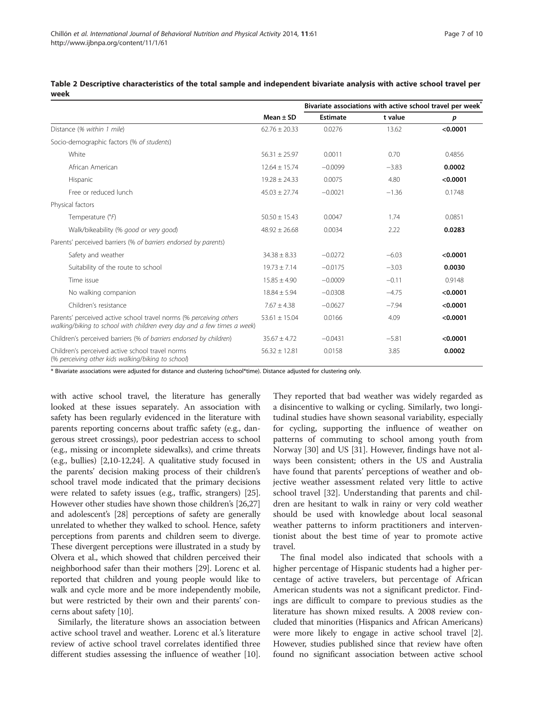|                                                                                                                                                |                   |                 | Bivariate associations with active school travel per week <sup>®</sup> |          |  |  |
|------------------------------------------------------------------------------------------------------------------------------------------------|-------------------|-----------------|------------------------------------------------------------------------|----------|--|--|
|                                                                                                                                                | Mean $\pm$ SD     | <b>Estimate</b> | t value                                                                | p        |  |  |
| Distance (% within 1 mile)                                                                                                                     | $62.76 \pm 20.33$ | 0.0276          | 13.62                                                                  | < 0.0001 |  |  |
| Socio-demographic factors (% of students)                                                                                                      |                   |                 |                                                                        |          |  |  |
| White                                                                                                                                          | $56.31 \pm 25.97$ | 0.0011          | 0.70                                                                   | 0.4856   |  |  |
| African American                                                                                                                               | $12.64 \pm 15.74$ | $-0.0099$       | $-3.83$                                                                | 0.0002   |  |  |
| Hispanic                                                                                                                                       | $19.28 \pm 24.33$ | 0.0075          | 4.80                                                                   | < 0.0001 |  |  |
| Free or reduced lunch                                                                                                                          | $45.03 \pm 27.74$ | $-0.0021$       | $-1.36$                                                                | 0.1748   |  |  |
| Physical factors                                                                                                                               |                   |                 |                                                                        |          |  |  |
| Temperature (°F)                                                                                                                               | $50.50 \pm 15.43$ | 0.0047          | 1.74                                                                   | 0.0851   |  |  |
| Walk/bikeability (% good or very good)                                                                                                         | $48.92 \pm 26.68$ | 0.0034          | 2.22                                                                   | 0.0283   |  |  |
| Parents' perceived barriers (% of barriers endorsed by parents)                                                                                |                   |                 |                                                                        |          |  |  |
| Safety and weather                                                                                                                             | $34.38 \pm 8.33$  | $-0.0272$       | $-6.03$                                                                | < 0.0001 |  |  |
| Suitability of the route to school                                                                                                             | $19.73 \pm 7.14$  | $-0.0175$       | $-3.03$                                                                | 0.0030   |  |  |
| Time issue                                                                                                                                     | $15.85 \pm 4.90$  | $-0.0009$       | $-0.11$                                                                | 0.9148   |  |  |
| No walking companion                                                                                                                           | $18.84 \pm 5.94$  | $-0.0308$       | $-4.75$                                                                | < 0.0001 |  |  |
| Children's resistance                                                                                                                          | $7.67 \pm 4.38$   | $-0.0627$       | $-7.94$                                                                | < 0.0001 |  |  |
| Parents' perceived active school travel norms (% perceiving others<br>walking/biking to school with children every day and a few times a week) | $53.61 \pm 15.04$ | 0.0166          | 4.09                                                                   | < 0.0001 |  |  |
| Children's perceived barriers (% of barriers endorsed by children)                                                                             | $35.67 \pm 4.72$  | $-0.0431$       | $-5.81$                                                                | < 0.0001 |  |  |
| Children's perceived active school travel norms<br>(% perceiving other kids walking/biking to school)                                          | $56.32 \pm 12.81$ | 0.0158          | 3.85                                                                   | 0.0002   |  |  |

<span id="page-6-0"></span>Table 2 Descriptive characteristics of the total sample and independent bivariate analysis with active school travel per week

\* Bivariate associations were adjusted for distance and clustering (school\*time). Distance adjusted for clustering only.

with active school travel, the literature has generally looked at these issues separately. An association with safety has been regularly evidenced in the literature with parents reporting concerns about traffic safety (e.g., dangerous street crossings), poor pedestrian access to school (e.g., missing or incomplete sidewalks), and crime threats (e.g., bullies) [\[2](#page-8-0)[,10-12,24](#page-9-0)]. A qualitative study focused in the parents' decision making process of their children's school travel mode indicated that the primary decisions were related to safety issues (e.g., traffic, strangers) [[25](#page-9-0)]. However other studies have shown those children's [\[26,27](#page-9-0)] and adolescent's [\[28](#page-9-0)] perceptions of safety are generally unrelated to whether they walked to school. Hence, safety perceptions from parents and children seem to diverge. These divergent perceptions were illustrated in a study by Olvera et al., which showed that children perceived their neighborhood safer than their mothers [\[29\]](#page-9-0). Lorenc et al. reported that children and young people would like to walk and cycle more and be more independently mobile, but were restricted by their own and their parents' concerns about safety [\[10\]](#page-9-0).

Similarly, the literature shows an association between active school travel and weather. Lorenc et al.'s literature review of active school travel correlates identified three different studies assessing the influence of weather [\[10](#page-9-0)].

They reported that bad weather was widely regarded as a disincentive to walking or cycling. Similarly, two longitudinal studies have shown seasonal variability, especially for cycling, supporting the influence of weather on patterns of commuting to school among youth from Norway [[30\]](#page-9-0) and US [\[31\]](#page-9-0). However, findings have not always been consistent; others in the US and Australia have found that parents' perceptions of weather and objective weather assessment related very little to active school travel [\[32](#page-9-0)]. Understanding that parents and children are hesitant to walk in rainy or very cold weather should be used with knowledge about local seasonal weather patterns to inform practitioners and interventionist about the best time of year to promote active travel.

The final model also indicated that schools with a higher percentage of Hispanic students had a higher percentage of active travelers, but percentage of African American students was not a significant predictor. Findings are difficult to compare to previous studies as the literature has shown mixed results. A 2008 review concluded that minorities (Hispanics and African Americans) were more likely to engage in active school travel [[2](#page-8-0)]. However, studies published since that review have often found no significant association between active school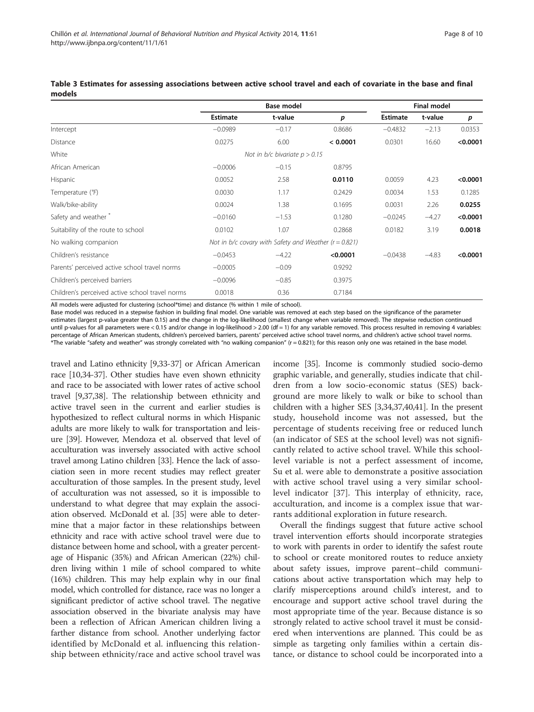|                                                 |                 | <b>Final model</b>                                          |          |                 |         |          |
|-------------------------------------------------|-----------------|-------------------------------------------------------------|----------|-----------------|---------|----------|
|                                                 | <b>Estimate</b> | t-value                                                     | p        | <b>Estimate</b> | t-value | p        |
| Intercept                                       | $-0.0989$       | $-0.17$                                                     | 0.8686   | $-0.4832$       | $-2.13$ | 0.0353   |
| Distance                                        | 0.0275          | 6.00                                                        | < 0.0001 | 0.0301          | 16.60   | < 0.0001 |
| White                                           |                 | Not in $b/c$ bivariate $p > 0.15$                           |          |                 |         |          |
| African American                                | $-0.0006$       | $-0.15$                                                     | 0.8795   |                 |         |          |
| Hispanic                                        | 0.0052          | 2.58                                                        | 0.0110   | 0.0059          | 4.23    | < 0.0001 |
| Temperature (°F)                                | 0.0030          | 1.17                                                        | 0.2429   | 0.0034          | 1.53    | 0.1285   |
| Walk/bike-ability                               | 0.0024          | 1.38                                                        | 0.1695   | 0.0031          | 2.26    | 0.0255   |
| Safety and weather*                             | $-0.0160$       | $-1.53$                                                     | 0.1280   | $-0.0245$       | $-4.27$ | < 0.0001 |
| Suitability of the route to school              | 0.0102          | 1.07                                                        | 0.2868   | 0.0182          | 3.19    | 0.0018   |
| No walking companion                            |                 | Not in $b/c$ covary with Safety and Weather ( $r = 0.821$ ) |          |                 |         |          |
| Children's resistance                           | $-0.0453$       | $-4.22$                                                     | < 0.0001 | $-0.0438$       | $-4.83$ | < 0.0001 |
| Parents' perceived active school travel norms   | $-0.0005$       | $-0.09$                                                     | 0.9292   |                 |         |          |
| Children's perceived barriers                   | $-0.0096$       | $-0.85$                                                     | 0.3975   |                 |         |          |
| Children's perceived active school travel norms | 0.0018          | 0.36                                                        | 0.7184   |                 |         |          |

<span id="page-7-0"></span>Table 3 Estimates for assessing associations between active school travel and each of covariate in the base and final models

All models were adjusted for clustering (school\*time) and distance (% within 1 mile of school).

Base model was reduced in a stepwise fashion in building final model. One variable was removed at each step based on the significance of the parameter estimates (largest p-value greater than 0.15) and the change in the log-likelihood (smallest change when variable removed). The stepwise reduction continued until p-values for all parameters were < 0.15 and/or change in log-likelihood > 2.00 (df = 1) for any variable removed. This process resulted in removing 4 variables: percentage of African American students, children's perceived barriers, parents' perceived active school travel norms, and children's active school travel norms. \*The variable "safety and weather" was strongly correlated with "no walking companion" (r = 0.821); for this reason only one was retained in the base model.

travel and Latino ethnicity [\[9,33-37\]](#page-9-0) or African American race [\[10,34](#page-9-0)-[37](#page-9-0)]. Other studies have even shown ethnicity and race to be associated with lower rates of active school travel [[9,37,38\]](#page-9-0). The relationship between ethnicity and active travel seen in the current and earlier studies is hypothesized to reflect cultural norms in which Hispanic adults are more likely to walk for transportation and leisure [[39](#page-9-0)]. However, Mendoza et al. observed that level of acculturation was inversely associated with active school travel among Latino children [\[33\]](#page-9-0). Hence the lack of association seen in more recent studies may reflect greater acculturation of those samples. In the present study, level of acculturation was not assessed, so it is impossible to understand to what degree that may explain the association observed. McDonald et al. [[35](#page-9-0)] were able to determine that a major factor in these relationships between ethnicity and race with active school travel were due to distance between home and school, with a greater percentage of Hispanic (35%) and African American (22%) children living within 1 mile of school compared to white (16%) children. This may help explain why in our final model, which controlled for distance, race was no longer a significant predictor of active school travel. The negative association observed in the bivariate analysis may have been a reflection of African American children living a farther distance from school. Another underlying factor identified by McDonald et al. influencing this relationship between ethnicity/race and active school travel was

income [[35](#page-9-0)]. Income is commonly studied socio-demo graphic variable, and generally, studies indicate that children from a low socio-economic status (SES) background are more likely to walk or bike to school than children with a higher SES [[3,](#page-8-0)[34,37,40,41](#page-9-0)]. In the present study, household income was not assessed, but the percentage of students receiving free or reduced lunch (an indicator of SES at the school level) was not significantly related to active school travel. While this schoollevel variable is not a perfect assessment of income, Su et al. were able to demonstrate a positive association with active school travel using a very similar schoollevel indicator [[37](#page-9-0)]. This interplay of ethnicity, race, acculturation, and income is a complex issue that warrants additional exploration in future research.

Overall the findings suggest that future active school travel intervention efforts should incorporate strategies to work with parents in order to identify the safest route to school or create monitored routes to reduce anxiety about safety issues, improve parent–child communications about active transportation which may help to clarify misperceptions around child's interest, and to encourage and support active school travel during the most appropriate time of the year. Because distance is so strongly related to active school travel it must be considered when interventions are planned. This could be as simple as targeting only families within a certain distance, or distance to school could be incorporated into a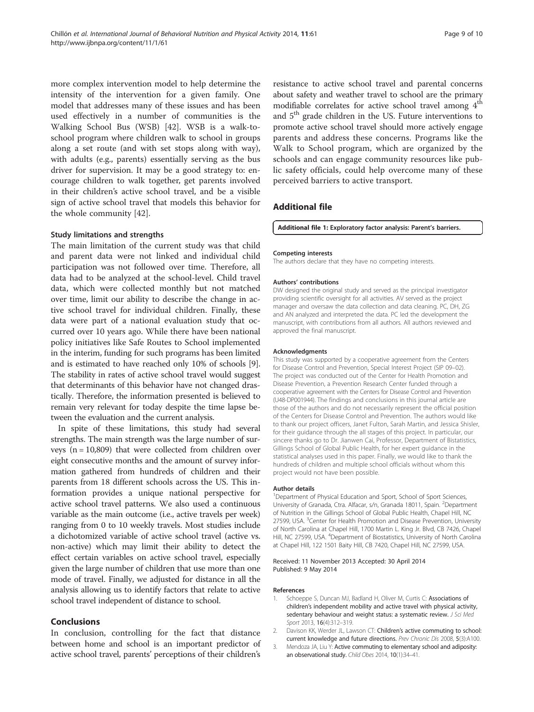<span id="page-8-0"></span>more complex intervention model to help determine the intensity of the intervention for a given family. One model that addresses many of these issues and has been used effectively in a number of communities is the Walking School Bus (WSB) [[42\]](#page-9-0). WSB is a walk-toschool program where children walk to school in groups along a set route (and with set stops along with way), with adults (e.g., parents) essentially serving as the bus driver for supervision. It may be a good strategy to: encourage children to walk together, get parents involved in their children's active school travel, and be a visible sign of active school travel that models this behavior for the whole community [[42](#page-9-0)].

#### Study limitations and strengths

The main limitation of the current study was that child and parent data were not linked and individual child participation was not followed over time. Therefore, all data had to be analyzed at the school-level. Child travel data, which were collected monthly but not matched over time, limit our ability to describe the change in active school travel for individual children. Finally, these data were part of a national evaluation study that occurred over 10 years ago. While there have been national policy initiatives like Safe Routes to School implemented in the interim, funding for such programs has been limited and is estimated to have reached only 10% of schools [[9](#page-9-0)]. The stability in rates of active school travel would suggest that determinants of this behavior have not changed drastically. Therefore, the information presented is believed to remain very relevant for today despite the time lapse between the evaluation and the current analysis.

In spite of these limitations, this study had several strengths. The main strength was the large number of surveys ( $n = 10,809$ ) that were collected from children over eight consecutive months and the amount of survey information gathered from hundreds of children and their parents from 18 different schools across the US. This information provides a unique national perspective for active school travel patterns. We also used a continuous variable as the main outcome (i.e., active travels per week) ranging from 0 to 10 weekly travels. Most studies include a dichotomized variable of active school travel (active vs. non-active) which may limit their ability to detect the effect certain variables on active school travel, especially given the large number of children that use more than one mode of travel. Finally, we adjusted for distance in all the analysis allowing us to identify factors that relate to active school travel independent of distance to school.

# Conclusions

In conclusion, controlling for the fact that distance between home and school is an important predictor of active school travel, parents' perceptions of their children's resistance to active school travel and parental concerns about safety and weather travel to school are the primary modifiable correlates for active school travel among 4<sup>th</sup> and 5th grade children in the US. Future interventions to promote active school travel should more actively engage parents and address these concerns. Programs like the Walk to School program, which are organized by the schools and can engage community resources like public safety officials, could help overcome many of these perceived barriers to active transport.

# Additional file

#### [Additional file 1:](http://www.biomedcentral.com/content/supplementary/1479-5868-11-61-S1.docx) Exploratory factor analysis: Parent's barriers.

#### Competing interests

The authors declare that they have no competing interests.

#### Authors' contributions

DW designed the original study and served as the principal investigator providing scientific oversight for all activities. AV served as the project manager and oversaw the data collection and data cleaning. PC, DH, ZG and AN analyzed and interpreted the data. PC led the development the manuscript, with contributions from all authors. All authors reviewed and approved the final manuscript.

#### Acknowledgments

This study was supported by a cooperative agreement from the Centers for Disease Control and Prevention, Special Interest Project (SIP 09–02). The project was conducted out of the Center for Health Promotion and Disease Prevention, a Prevention Research Center funded through a cooperative agreement with the Centers for Disease Control and Prevention (U48-DP001944). The findings and conclusions in this journal article are those of the authors and do not necessarily represent the official position of the Centers for Disease Control and Prevention. The authors would like to thank our project officers, Janet Fulton, Sarah Martin, and Jessica Shisler, for their guidance through the all stages of this project. In particular, our sincere thanks go to Dr. Jianwen Cai, Professor, Department of Bistatistics, Gillings School of Global Public Health, for her expert guidance in the statistical analyses used in this paper. Finally, we would like to thank the hundreds of children and multiple school officials without whom this project would not have been possible.

#### Author details

<sup>1</sup>Department of Physical Education and Sport, School of Sport Sciences, University of Granada, Ctra. Alfacar, s/n, Granada 18011, Spain. <sup>2</sup>Department of Nutrition in the Gillings School of Global Public Health, Chapel Hill, NC 27599, USA. <sup>3</sup>Center for Health Promotion and Disease Prevention, University of North Carolina at Chapel Hill, 1700 Martin L. King Jr. Blvd, CB 7426, Chapel Hill, NC 27599, USA. <sup>4</sup>Department of Biostatistics, University of North Carolina at Chapel Hill, 122 1501 Baity Hill, CB 7420, Chapel Hill, NC 27599, USA.

#### Received: 11 November 2013 Accepted: 30 April 2014 Published: 9 May 2014

#### References

- 1. Schoeppe S, Duncan MJ, Badland H, Oliver M, Curtis C: Associations of children's independent mobility and active travel with physical activity, sedentary behaviour and weight status: a systematic review. J Sci Med Sport 2013, **16**(4):312-319.
- 2. Davison KK, Werder JL, Lawson CT: Children's active commuting to school: current knowledge and future directions. Prev Chronic Dis 2008, 5(3):A100.
- 3. Mendoza JA, Liu Y: Active commuting to elementary school and adiposity: an observational study. Child Obes 2014, 10(1):34–41.